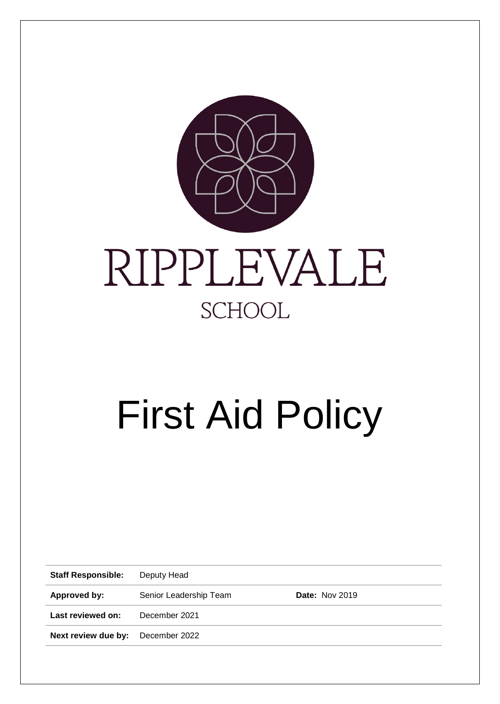

# First Aid Policy

| <b>Staff Responsible:</b> | Deputy Head            |                       |  |
|---------------------------|------------------------|-----------------------|--|
| Approved by:              | Senior Leadership Team | <b>Date: Nov 2019</b> |  |
| Last reviewed on:         | December 2021          |                       |  |
| Next review due by:       | December 2022          |                       |  |
|                           |                        |                       |  |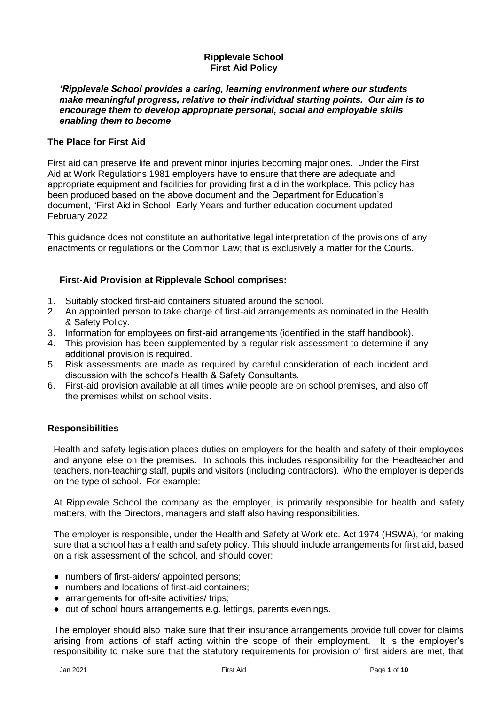# **Ripplevale School First Aid Policy**

#### *'Ripplevale School provides a caring, learning environment where our students make meaningful progress, relative to their individual starting points. Our aim is to encourage them to develop appropriate personal, social and employable skills enabling them to become*

# **The Place for First Aid**

First aid can preserve life and prevent minor injuries becoming major ones. Under the First Aid at Work Regulations 1981 employers have to ensure that there are adequate and appropriate equipment and facilities for providing first aid in the workplace. This policy has been produced based on the above document and the Department for Education's document, "First Aid in School, Early Years and further education document updated February 2022.

This guidance does not constitute an authoritative legal interpretation of the provisions of any enactments or regulations or the Common Law; that is exclusively a matter for the Courts.

# **First-Aid Provision at Ripplevale School comprises:**

- 1. Suitably stocked first-aid containers situated around the school.
- 2. An appointed person to take charge of first-aid arrangements as nominated in the Health & Safety Policy.
- 3. Information for employees on first-aid arrangements (identified in the staff handbook).
- 4. This provision has been supplemented by a regular risk assessment to determine if any additional provision is required.
- 5. Risk assessments are made as required by careful consideration of each incident and discussion with the school's Health & Safety Consultants.
- 6. First-aid provision available at all times while people are on school premises, and also off the premises whilst on school visits.

# **Responsibilities**

Health and safety legislation places duties on employers for the health and safety of their employees and anyone else on the premises. In schools this includes responsibility for the Headteacher and teachers, non-teaching staff, pupils and visitors (including contractors). Who the employer is depends on the type of school. For example:

At Ripplevale School the company as the employer, is primarily responsible for health and safety matters, with the Directors, managers and staff also having responsibilities.

The employer is responsible, under the Health and Safety at Work etc. Act 1974 (HSWA), for making sure that a school has a health and safety policy. This should include arrangements for first aid, based on a risk assessment of the school, and should cover:

- numbers of first-aiders/ appointed persons;
- numbers and locations of first-aid containers:
- arrangements for off-site activities/ trips:
- out of school hours arrangements e.g. lettings, parents evenings.

The employer should also make sure that their insurance arrangements provide full cover for claims arising from actions of staff acting within the scope of their employment. It is the employer's responsibility to make sure that the statutory requirements for provision of first aiders are met, that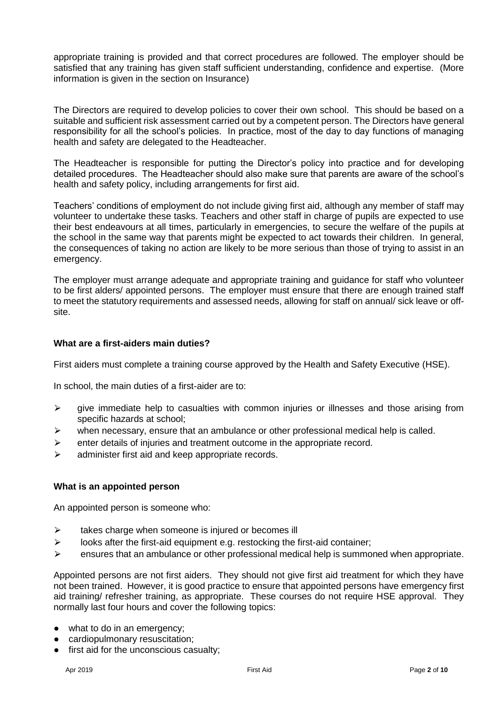appropriate training is provided and that correct procedures are followed. The employer should be satisfied that any training has given staff sufficient understanding, confidence and expertise. (More information is given in the section on Insurance)

The Directors are required to develop policies to cover their own school. This should be based on a suitable and sufficient risk assessment carried out by a competent person. The Directors have general responsibility for all the school's policies. In practice, most of the day to day functions of managing health and safety are delegated to the Headteacher.

The Headteacher is responsible for putting the Director's policy into practice and for developing detailed procedures. The Headteacher should also make sure that parents are aware of the school's health and safety policy, including arrangements for first aid.

Teachers' conditions of employment do not include giving first aid, although any member of staff may volunteer to undertake these tasks. Teachers and other staff in charge of pupils are expected to use their best endeavours at all times, particularly in emergencies, to secure the welfare of the pupils at the school in the same way that parents might be expected to act towards their children. In general, the consequences of taking no action are likely to be more serious than those of trying to assist in an emergency.

The employer must arrange adequate and appropriate training and guidance for staff who volunteer to be first alders/ appointed persons. The employer must ensure that there are enough trained staff to meet the statutory requirements and assessed needs, allowing for staff on annual/ sick leave or offsite.

#### **What are a first-aiders main duties?**

First aiders must complete a training course approved by the Health and Safety Executive (HSE).

In school, the main duties of a first-aider are to:

- $\triangleright$  give immediate help to casualties with common injuries or illnesses and those arising from specific hazards at school;
- $\triangleright$  when necessary, ensure that an ambulance or other professional medical help is called.
- $\triangleright$  enter details of injuries and treatment outcome in the appropriate record.
- $\triangleright$  administer first aid and keep appropriate records.

#### **What is an appointed person**

An appointed person is someone who:

- $\triangleright$  takes charge when someone is injured or becomes ill
- $\triangleright$  looks after the first-aid equipment e.g. restocking the first-aid container;
- $\triangleright$  ensures that an ambulance or other professional medical help is summoned when appropriate.

Appointed persons are not first aiders. They should not give first aid treatment for which they have not been trained. However, it is good practice to ensure that appointed persons have emergency first aid training/ refresher training, as appropriate. These courses do not require HSE approval. They normally last four hours and cover the following topics:

- what to do in an emergency;
- **•** cardiopulmonary resuscitation;
- first aid for the unconscious casualty;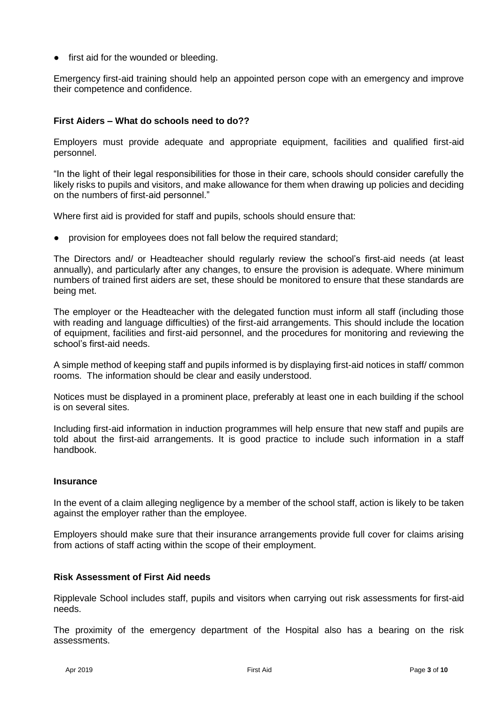● first aid for the wounded or bleeding.

Emergency first-aid training should help an appointed person cope with an emergency and improve their competence and confidence.

# **First Aiders – What do schools need to do??**

Employers must provide adequate and appropriate equipment, facilities and qualified first-aid personnel.

"In the light of their legal responsibilities for those in their care, schools should consider carefully the likely risks to pupils and visitors, and make allowance for them when drawing up policies and deciding on the numbers of first-aid personnel."

Where first aid is provided for staff and pupils, schools should ensure that:

● provision for employees does not fall below the required standard;

The Directors and/ or Headteacher should regularly review the school's first-aid needs (at least annually), and particularly after any changes, to ensure the provision is adequate. Where minimum numbers of trained first aiders are set, these should be monitored to ensure that these standards are being met.

The employer or the Headteacher with the delegated function must inform all staff (including those with reading and language difficulties) of the first-aid arrangements. This should include the location of equipment, facilities and first-aid personnel, and the procedures for monitoring and reviewing the school's first-aid needs.

A simple method of keeping staff and pupils informed is by displaying first-aid notices in staff/ common rooms. The information should be clear and easily understood.

Notices must be displayed in a prominent place, preferably at least one in each building if the school is on several sites.

Including first-aid information in induction programmes will help ensure that new staff and pupils are told about the first-aid arrangements. It is good practice to include such information in a staff handbook.

#### **Insurance**

In the event of a claim alleging negligence by a member of the school staff, action is likely to be taken against the employer rather than the employee.

Employers should make sure that their insurance arrangements provide full cover for claims arising from actions of staff acting within the scope of their employment.

# **Risk Assessment of First Aid needs**

Ripplevale School includes staff, pupils and visitors when carrying out risk assessments for first-aid needs.

The proximity of the emergency department of the Hospital also has a bearing on the risk assessments.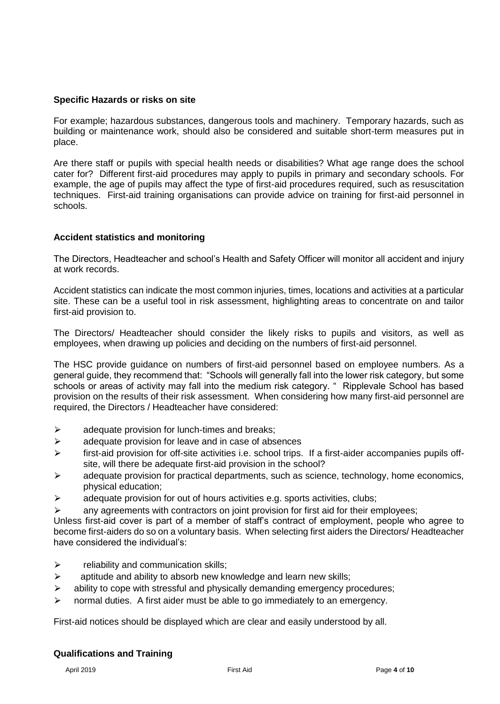# **Specific Hazards or risks on site**

For example; hazardous substances, dangerous tools and machinery. Temporary hazards, such as building or maintenance work, should also be considered and suitable short-term measures put in place.

Are there staff or pupils with special health needs or disabilities? What age range does the school cater for? Different first-aid procedures may apply to pupils in primary and secondary schools. For example, the age of pupils may affect the type of first-aid procedures required, such as resuscitation techniques. First-aid training organisations can provide advice on training for first-aid personnel in schools.

# **Accident statistics and monitoring**

The Directors, Headteacher and school's Health and Safety Officer will monitor all accident and injury at work records.

Accident statistics can indicate the most common injuries, times, locations and activities at a particular site. These can be a useful tool in risk assessment, highlighting areas to concentrate on and tailor first-aid provision to.

The Directors/ Headteacher should consider the likely risks to pupils and visitors, as well as employees, when drawing up policies and deciding on the numbers of first-aid personnel.

The HSC provide guidance on numbers of first-aid personnel based on employee numbers. As a general guide, they recommend that: "Schools will generally fall into the lower risk category, but some schools or areas of activity may fall into the medium risk category. " Ripplevale School has based provision on the results of their risk assessment. When considering how many first-aid personnel are required, the Directors / Headteacher have considered:

- $\triangleright$  adequate provision for lunch-times and breaks;
- $\triangleright$  adequate provision for leave and in case of absences
- $\triangleright$  first-aid provision for off-site activities i.e. school trips. If a first-aider accompanies pupils offsite, will there be adequate first-aid provision in the school?
- adequate provision for practical departments, such as science, technology, home economics, physical education;
- adequate provision for out of hours activities e.g. sports activities, clubs;

 $\triangleright$  any agreements with contractors on joint provision for first aid for their employees; Unless first-aid cover is part of a member of staff's contract of employment, people who agree to

become first-aiders do so on a voluntary basis. When selecting first aiders the Directors/ Headteacher have considered the individual's:

- $\triangleright$  reliability and communication skills;
- $\triangleright$  aptitude and ability to absorb new knowledge and learn new skills;
- $\triangleright$  ability to cope with stressful and physically demanding emergency procedures;
- $\triangleright$  normal duties. A first aider must be able to go immediately to an emergency.

First-aid notices should be displayed which are clear and easily understood by all.

# **Qualifications and Training**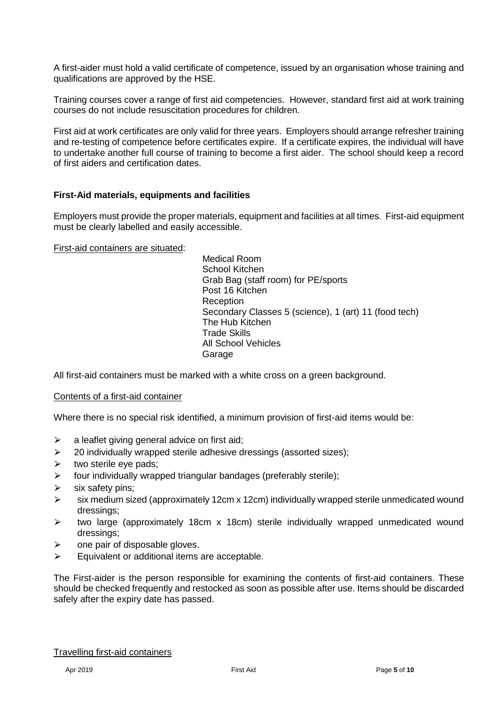A first-aider must hold a valid certificate of competence, issued by an organisation whose training and qualifications are approved by the HSE.

Training courses cover a range of first aid competencies. However, standard first aid at work training courses do not include resuscitation procedures for children.

First aid at work certificates are only valid for three years. Employers should arrange refresher training and re-testing of competence before certificates expire. If a certificate expires, the individual will have to undertake another full course of training to become a first aider. The school should keep a record of first aiders and certification dates.

# **First-Aid materials, equipments and facilities**

Employers must provide the proper materials, equipment and facilities at all times. First-aid equipment must be clearly labelled and easily accessible.

First-aid containers are situated:

Medical Room School Kitchen Grab Bag (staff room) for PE/sports Post 16 Kitchen Reception Secondary Classes 5 (science), 1 (art) 11 (food tech) The Hub Kitchen Trade Skills All School Vehicles Garage

All first-aid containers must be marked with a white cross on a green background.

#### Contents of a first-aid container

Where there is no special risk identified, a minimum provision of first-aid items would be:

- $\geq$  a leaflet giving general advice on first aid;
- $\geq$  20 individually wrapped sterile adhesive dressings (assorted sizes);
- $\triangleright$  two sterile eye pads;
- $\triangleright$  four individually wrapped triangular bandages (preferably sterile);
- six safety pins;
- $\triangleright$  six medium sized (approximately 12cm x 12cm) individually wrapped sterile unmedicated wound dressings;
- $\triangleright$  two large (approximately 18cm x 18cm) sterile individually wrapped unmedicated wound dressings;
- ⮚ one pair of disposable gloves.
- $\triangleright$  Equivalent or additional items are acceptable.

The First-aider is the person responsible for examining the contents of first-aid containers. These should be checked frequently and restocked as soon as possible after use. Items should be discarded safely after the expiry date has passed.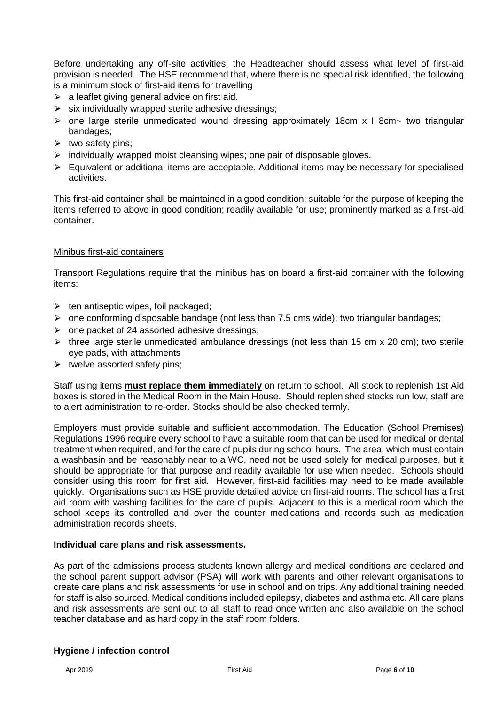Before undertaking any off-site activities, the Headteacher should assess what level of first-aid provision is needed. The HSE recommend that, where there is no special risk identified, the following is a minimum stock of first-aid items for travelling

- $\triangleright$  a leaflet giving general advice on first aid.
- $\triangleright$  six individually wrapped sterile adhesive dressings;
- $\triangleright$  one large sterile unmedicated wound dressing approximately 18cm x I 8cm ~ two triangular bandages;
- $\triangleright$  two safety pins;
- $\triangleright$  individually wrapped moist cleansing wipes; one pair of disposable gloves.
- $\triangleright$  Equivalent or additional items are acceptable. Additional items may be necessary for specialised activities.

This first-aid container shall be maintained in a good condition; suitable for the purpose of keeping the items referred to above in good condition; readily available for use; prominently marked as a first-aid container.

#### Minibus first-aid containers

Transport Regulations require that the minibus has on board a first-aid container with the following items:

- $\triangleright$  ten antiseptic wipes, foil packaged;
- $\triangleright$  one conforming disposable bandage (not less than 7.5 cms wide); two triangular bandages;
- $\triangleright$  one packet of 24 assorted adhesive dressings;
- $\triangleright$  three large sterile unmedicated ambulance dressings (not less than 15 cm x 20 cm); two sterile eye pads, with attachments
- $\triangleright$  twelve assorted safety pins;

Staff using items **must replace them immediately** on return to school. All stock to replenish 1st Aid boxes is stored in the Medical Room in the Main House. Should replenished stocks run low, staff are to alert administration to re-order. Stocks should be also checked termly.

Employers must provide suitable and sufficient accommodation. The Education (School Premises) Regulations 1996 require every school to have a suitable room that can be used for medical or dental treatment when required, and for the care of pupils during school hours. The area, which must contain a washbasin and be reasonably near to a WC, need not be used solely for medical purposes, but it should be appropriate for that purpose and readily available for use when needed. Schools should consider using this room for first aid. However, first-aid facilities may need to be made available quickly. Organisations such as HSE provide detailed advice on first-aid rooms. The school has a first aid room with washing facilities for the care of pupils. Adjacent to this is a medical room which the school keeps its controlled and over the counter medications and records such as medication administration records sheets.

#### **Individual care plans and risk assessments.**

As part of the admissions process students known allergy and medical conditions are declared and the school parent support advisor (PSA) will work with parents and other relevant organisations to create care plans and risk assessments for use in school and on trips. Any additional training needed for staff is also sourced. Medical conditions included epilepsy, diabetes and asthma etc. All care plans and risk assessments are sent out to all staff to read once written and also available on the school teacher database and as hard copy in the staff room folders.

#### **Hygiene / infection control**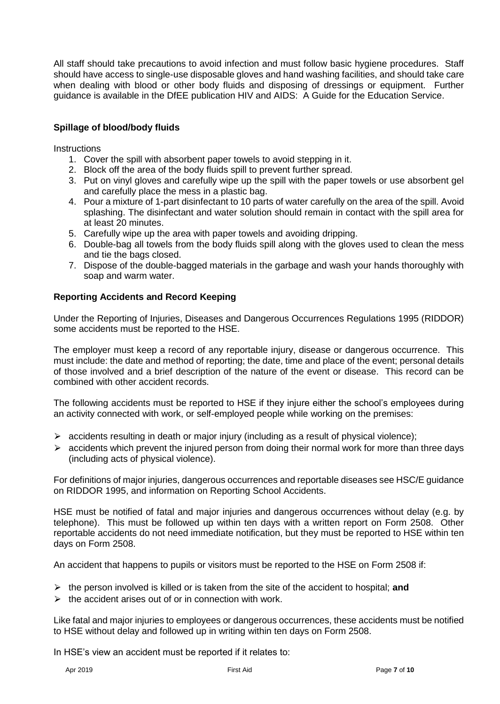All staff should take precautions to avoid infection and must follow basic hygiene procedures. Staff should have access to single-use disposable gloves and hand washing facilities, and should take care when dealing with blood or other body fluids and disposing of dressings or equipment. Further guidance is available in the DfEE publication HIV and AIDS: A Guide for the Education Service.

# **Spillage of blood/body fluids**

**Instructions** 

- 1. Cover the spill with absorbent paper towels to avoid stepping in it.
- 2. Block off the area of the body fluids spill to prevent further spread.
- 3. Put on vinyl gloves and carefully wipe up the spill with the paper towels or use absorbent gel and carefully place the mess in a plastic bag.
- 4. Pour a mixture of 1-part disinfectant to 10 parts of water carefully on the area of the spill. Avoid splashing. The disinfectant and water solution should remain in contact with the spill area for at least 20 minutes.
- 5. Carefully wipe up the area with paper towels and avoiding dripping.
- 6. Double-bag all towels from the body fluids spill along with the gloves used to clean the mess and tie the bags closed.
- 7. Dispose of the double-bagged materials in the garbage and wash your hands thoroughly with soap and warm water.

# **Reporting Accidents and Record Keeping**

Under the Reporting of Injuries, Diseases and Dangerous Occurrences Regulations 1995 (RIDDOR) some accidents must be reported to the HSE.

The employer must keep a record of any reportable injury, disease or dangerous occurrence. This must include: the date and method of reporting; the date, time and place of the event; personal details of those involved and a brief description of the nature of the event or disease. This record can be combined with other accident records.

The following accidents must be reported to HSE if they injure either the school's employees during an activity connected with work, or self-employed people while working on the premises:

- $\triangleright$  accidents resulting in death or major injury (including as a result of physical violence);
- $\triangleright$  accidents which prevent the injured person from doing their normal work for more than three days (including acts of physical violence).

For definitions of major injuries, dangerous occurrences and reportable diseases see HSC/E guidance on RIDDOR 1995, and information on Reporting School Accidents.

HSE must be notified of fatal and major injuries and dangerous occurrences without delay (e.g. by telephone). This must be followed up within ten days with a written report on Form 2508. Other reportable accidents do not need immediate notification, but they must be reported to HSE within ten days on Form 2508.

An accident that happens to pupils or visitors must be reported to the HSE on Form 2508 if:

- $\triangleright$  the person involved is killed or is taken from the site of the accident to hospital; **and**
- $\triangleright$  the accident arises out of or in connection with work.

Like fatal and major injuries to employees or dangerous occurrences, these accidents must be notified to HSE without delay and followed up in writing within ten days on Form 2508.

In HSE's view an accident must be reported if it relates to: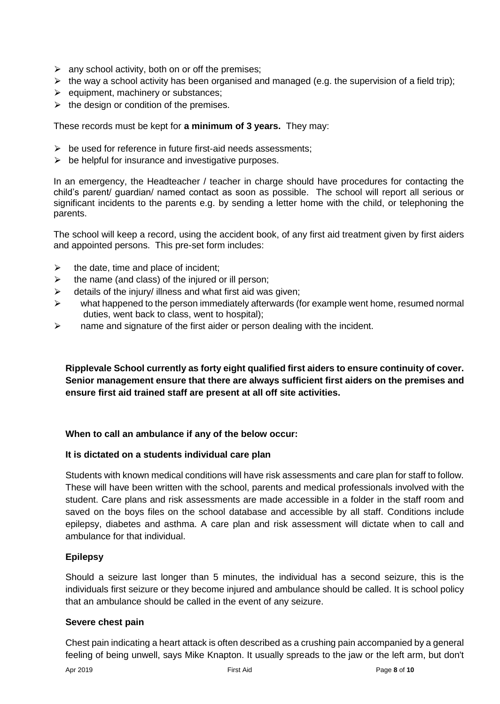- $\triangleright$  any school activity, both on or off the premises;
- $\triangleright$  the way a school activity has been organised and managed (e.g. the supervision of a field trip);
- $\triangleright$  equipment, machinery or substances;
- $\triangleright$  the design or condition of the premises.

These records must be kept for **a minimum of 3 years.** They may:

- $\triangleright$  be used for reference in future first-aid needs assessments;
- $\triangleright$  be helpful for insurance and investigative purposes.

In an emergency, the Headteacher / teacher in charge should have procedures for contacting the child's parent/ guardian/ named contact as soon as possible. The school will report all serious or significant incidents to the parents e.g. by sending a letter home with the child, or telephoning the parents.

The school will keep a record, using the accident book, of any first aid treatment given by first aiders and appointed persons. This pre-set form includes:

- $\triangleright$  the date, time and place of incident;
- $\triangleright$  the name (and class) of the injured or ill person;
- $\triangleright$  details of the injury/ illness and what first aid was given;
- $\triangleright$  what happened to the person immediately afterwards (for example went home, resumed normal duties, went back to class, went to hospital);
- $\triangleright$  name and signature of the first aider or person dealing with the incident.

**Ripplevale School currently as forty eight qualified first aiders to ensure continuity of cover. Senior management ensure that there are always sufficient first aiders on the premises and ensure first aid trained staff are present at all off site activities.**

# **When to call an ambulance if any of the below occur:**

# **It is dictated on a students individual care plan**

Students with known medical conditions will have risk assessments and care plan for staff to follow. These will have been written with the school, parents and medical professionals involved with the student. Care plans and risk assessments are made accessible in a folder in the staff room and saved on the boys files on the school database and accessible by all staff. Conditions include epilepsy, diabetes and asthma. A care plan and risk assessment will dictate when to call and ambulance for that individual.

# **Epilepsy**

Should a seizure last longer than 5 minutes, the individual has a second seizure, this is the individuals first seizure or they become injured and ambulance should be called. It is school policy that an ambulance should be called in the event of any seizure.

#### **Severe chest pain**

Chest pain indicating a heart attack is often described as a crushing pain accompanied by a general feeling of being unwell, says Mike Knapton. It usually spreads to the jaw or the left arm, but don't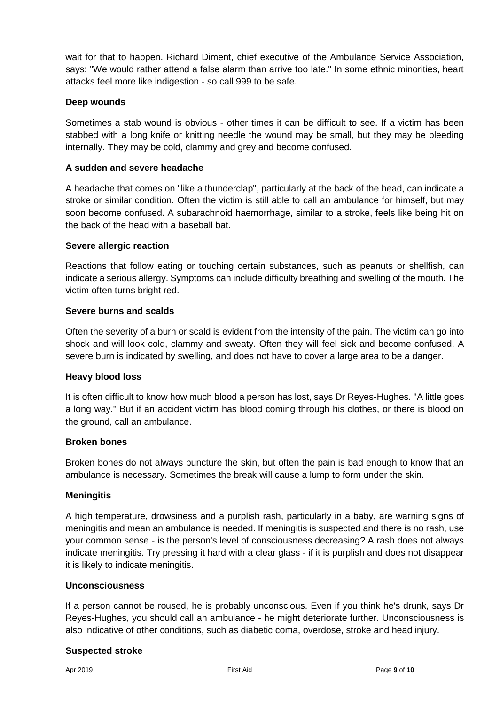wait for that to happen. Richard Diment, chief executive of the Ambulance Service Association, says: "We would rather attend a false alarm than arrive too late." In some ethnic minorities, heart attacks feel more like indigestion - so call 999 to be safe.

# **Deep wounds**

Sometimes a stab wound is obvious - other times it can be difficult to see. If a victim has been stabbed with a long knife or knitting needle the wound may be small, but they may be bleeding internally. They may be cold, clammy and grey and become confused.

# **A sudden and severe headache**

A headache that comes on "like a thunderclap", particularly at the back of the head, can indicate a stroke or similar condition. Often the victim is still able to call an ambulance for himself, but may soon become confused. A subarachnoid haemorrhage, similar to a stroke, feels like being hit on the back of the head with a baseball bat.

# **Severe allergic reaction**

Reactions that follow eating or touching certain substances, such as peanuts or shellfish, can indicate a serious allergy. Symptoms can include difficulty breathing and swelling of the mouth. The victim often turns bright red.

# **Severe burns and scalds**

Often the severity of a burn or scald is evident from the intensity of the pain. The victim can go into shock and will look cold, clammy and sweaty. Often they will feel sick and become confused. A severe burn is indicated by swelling, and does not have to cover a large area to be a danger.

# **Heavy blood loss**

It is often difficult to know how much blood a person has lost, says Dr Reyes-Hughes. "A little goes a long way." But if an accident victim has blood coming through his clothes, or there is blood on the ground, call an ambulance.

# **Broken bones**

Broken bones do not always puncture the skin, but often the pain is bad enough to know that an ambulance is necessary. Sometimes the break will cause a lump to form under the skin.

# **Meningitis**

A high temperature, drowsiness and a purplish rash, particularly in a baby, are warning signs of meningitis and mean an ambulance is needed. If meningitis is suspected and there is no rash, use your common sense - is the person's level of consciousness decreasing? A rash does not always indicate meningitis. Try pressing it hard with a clear glass - if it is purplish and does not disappear it is likely to indicate meningitis.

#### **Unconsciousness**

If a person cannot be roused, he is probably unconscious. Even if you think he's drunk, says Dr Reyes-Hughes, you should call an ambulance - he might deteriorate further. Unconsciousness is also indicative of other conditions, such as diabetic coma, overdose, stroke and head injury.

#### **Suspected stroke**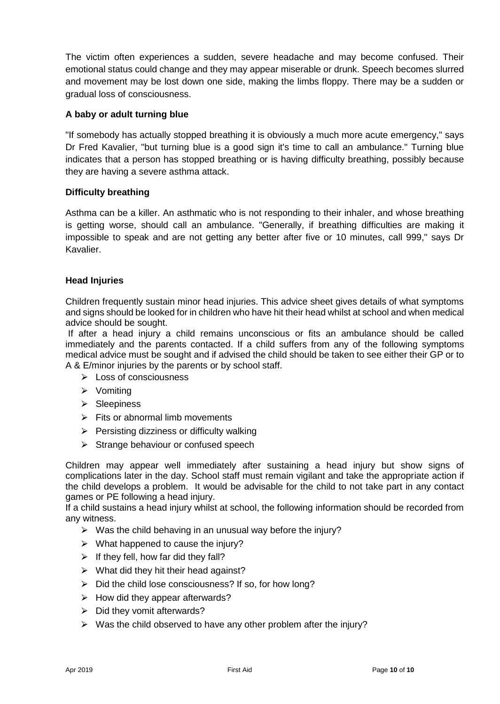The victim often experiences a sudden, severe headache and may become confused. Their emotional status could change and they may appear miserable or drunk. Speech becomes slurred and movement may be lost down one side, making the limbs floppy. There may be a sudden or gradual loss of consciousness.

# **A baby or adult turning blue**

"If somebody has actually stopped breathing it is obviously a much more acute emergency," says Dr Fred Kavalier, "but turning blue is a good sign it's time to call an ambulance." Turning blue indicates that a person has stopped breathing or is having difficulty breathing, possibly because they are having a severe asthma attack.

# **Difficulty breathing**

Asthma can be a killer. An asthmatic who is not responding to their inhaler, and whose breathing is getting worse, should call an ambulance. "Generally, if breathing difficulties are making it impossible to speak and are not getting any better after five or 10 minutes, call 999," says Dr Kavalier.

# **Head Injuries**

Children frequently sustain minor head injuries. This advice sheet gives details of what symptoms and signs should be looked for in children who have hit their head whilst at school and when medical advice should be sought.

If after a head injury a child remains unconscious or fits an ambulance should be called immediately and the parents contacted. If a child suffers from any of the following symptoms medical advice must be sought and if advised the child should be taken to see either their GP or to A & E/minor injuries by the parents or by school staff.

- $\triangleright$  Loss of consciousness
- $\triangleright$  Vomiting
- $\triangleright$  Sleepiness
- $\triangleright$  Fits or abnormal limb movements
- $\triangleright$  Persisting dizziness or difficulty walking
- $\triangleright$  Strange behaviour or confused speech

Children may appear well immediately after sustaining a head injury but show signs of complications later in the day. School staff must remain vigilant and take the appropriate action if the child develops a problem. It would be advisable for the child to not take part in any contact games or PE following a head injury.

If a child sustains a head injury whilst at school, the following information should be recorded from any witness.

- $\triangleright$  Was the child behaving in an unusual way before the injury?
- $\triangleright$  What happened to cause the injury?
- $\triangleright$  If they fell, how far did they fall?
- $\triangleright$  What did they hit their head against?
- $\triangleright$  Did the child lose consciousness? If so, for how long?
- $\triangleright$  How did they appear afterwards?
- $\triangleright$  Did they vomit afterwards?
- $\triangleright$  Was the child observed to have any other problem after the injury?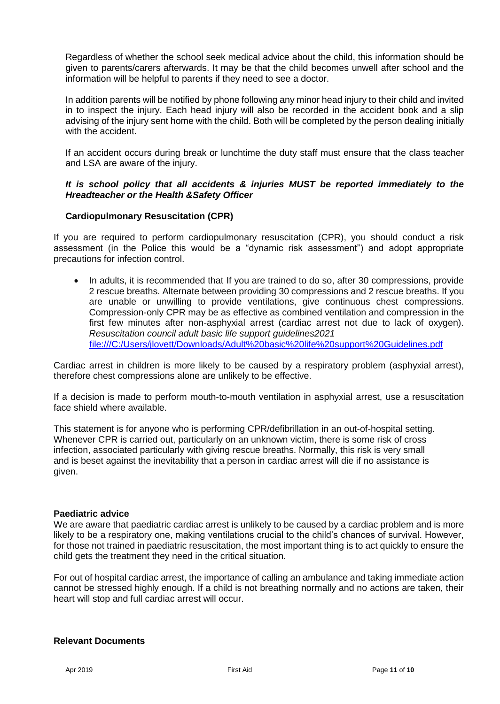Regardless of whether the school seek medical advice about the child, this information should be given to parents/carers afterwards. It may be that the child becomes unwell after school and the information will be helpful to parents if they need to see a doctor.

In addition parents will be notified by phone following any minor head injury to their child and invited in to inspect the injury. Each head injury will also be recorded in the accident book and a slip advising of the injury sent home with the child. Both will be completed by the person dealing initially with the accident.

If an accident occurs during break or lunchtime the duty staff must ensure that the class teacher and LSA are aware of the injury.

#### *It is school policy that all accidents & injuries MUST be reported immediately to the Hreadteacher or the Health &Safety Officer*

#### **Cardiopulmonary Resuscitation (CPR)**

If you are required to perform cardiopulmonary resuscitation (CPR), you should conduct a risk assessment (in the Police this would be a "dynamic risk assessment") and adopt appropriate precautions for infection control.

• In adults, it is recommended that If you are trained to do so, after 30 compressions, provide 2 rescue breaths. Alternate between providing 30 compressions and 2 rescue breaths. If you are unable or unwilling to provide ventilations, give continuous chest compressions. Compression-only CPR may be as effective as combined ventilation and compression in the first few minutes after non-asphyxial arrest (cardiac arrest not due to lack of oxygen). *Resuscitation council adult basic life support guidelines2021* <file:///C:/Users/jlovett/Downloads/Adult%20basic%20life%20support%20Guidelines.pdf>

Cardiac arrest in children is more likely to be caused by a respiratory problem (asphyxial arrest), therefore chest compressions alone are unlikely to be effective.

If a decision is made to perform mouth-to-mouth ventilation in asphyxial arrest, use a resuscitation face shield where available.

This statement is for anyone who is performing CPR/defibrillation in an out-of-hospital setting. Whenever CPR is carried out, particularly on an unknown victim, there is some risk of cross infection, associated particularly with giving rescue breaths. Normally, this risk is very small and is beset against the inevitability that a person in cardiac arrest will die if no assistance is given.

#### **Paediatric advice**

We are aware that paediatric cardiac arrest is unlikely to be caused by a cardiac problem and is more likely to be a respiratory one, making ventilations crucial to the child's chances of survival. However. for those not trained in paediatric resuscitation, the most important thing is to act quickly to ensure the child gets the treatment they need in the critical situation.

For out of hospital cardiac arrest, the importance of calling an ambulance and taking immediate action cannot be stressed highly enough. If a child is not breathing normally and no actions are taken, their heart will stop and full cardiac arrest will occur.

#### **Relevant Documents**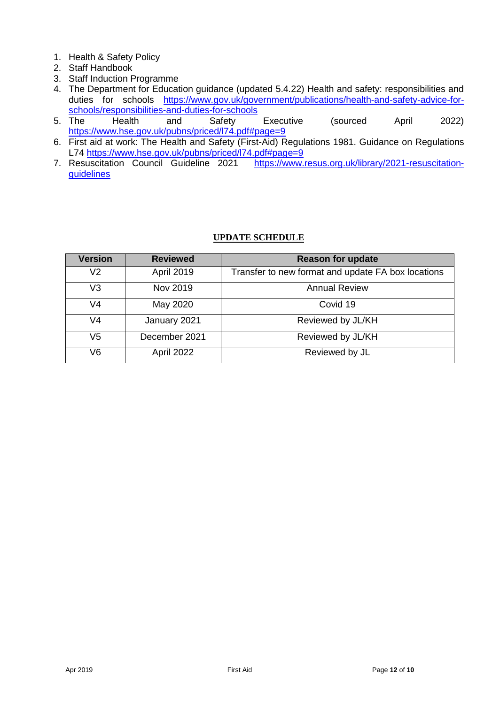- 1. Health & Safety Policy
- 2. Staff Handbook
- 3. Staff Induction Programme
- 4. The Department for Education guidance (updated 5.4.22) Health and safety: responsibilities and duties for schools [https://www.gov.uk/government/publications/health-and-safety-advice-for](https://www.gov.uk/government/publications/health-and-safety-advice-for-schools/responsibilities-and-duties-for-schools)[schools/responsibilities-and-duties-for-schools](https://www.gov.uk/government/publications/health-and-safety-advice-for-schools/responsibilities-and-duties-for-schools)<br>5. The Health and Safety
- 5. The Health and Safety Executive (sourced April 2022) <https://www.hse.gov.uk/pubns/priced/l74.pdf#page=9>
- 6. First aid at work: The Health and Safety (First-Aid) Regulations 1981. Guidance on Regulations L74<https://www.hse.gov.uk/pubns/priced/l74.pdf#page=9><br>7. Resuscitation Council Guideline 2021 https://www.
- [https://www.resus.org.uk/library/2021-resuscitation](https://www.resus.org.uk/library/2021-resuscitation-guidelines)[guidelines](https://www.resus.org.uk/library/2021-resuscitation-guidelines)

# **UPDATE SCHEDULE**

| <b>Version</b> | <b>Reviewed</b>   | <b>Reason for update</b>                           |  |
|----------------|-------------------|----------------------------------------------------|--|
| V <sub>2</sub> | <b>April 2019</b> | Transfer to new format and update FA box locations |  |
| V <sub>3</sub> | Nov 2019          | <b>Annual Review</b>                               |  |
| V4             | May 2020          | Covid 19                                           |  |
| V4             | January 2021      | Reviewed by JL/KH                                  |  |
| V <sub>5</sub> | December 2021     | Reviewed by JL/KH                                  |  |
| V <sub>6</sub> | April 2022        | Reviewed by JL                                     |  |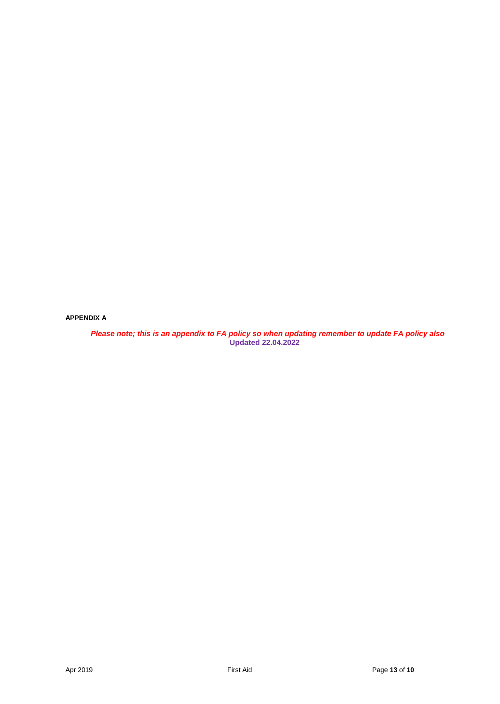**APPENDIX A**

 *Please note; this is an appendix to FA policy so when updating remember to update FA policy also* **Updated 22.04.2022**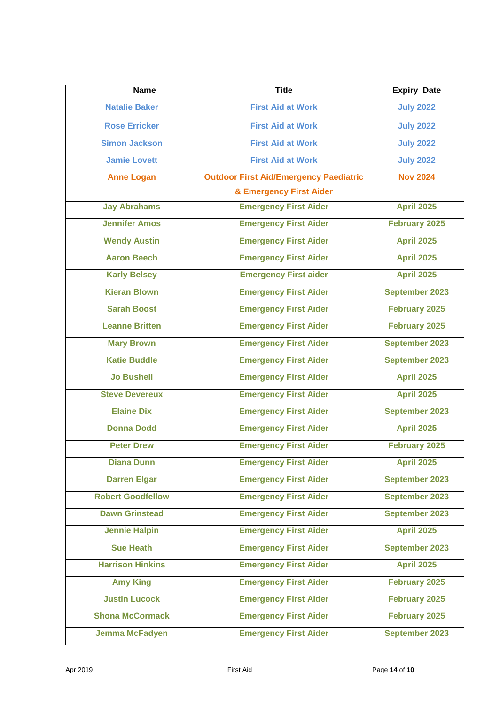| <b>Name</b>              | <b>Title</b>                                  | <b>Expiry Date</b>   |
|--------------------------|-----------------------------------------------|----------------------|
| <b>Natalie Baker</b>     | <b>First Aid at Work</b>                      | <b>July 2022</b>     |
| <b>Rose Erricker</b>     | <b>First Aid at Work</b>                      | <b>July 2022</b>     |
| <b>Simon Jackson</b>     | <b>First Aid at Work</b>                      | <b>July 2022</b>     |
| <b>Jamie Lovett</b>      | <b>First Aid at Work</b>                      | <b>July 2022</b>     |
| <b>Anne Logan</b>        | <b>Outdoor First Aid/Emergency Paediatric</b> | <b>Nov 2024</b>      |
|                          | & Emergency First Aider                       |                      |
| <b>Jay Abrahams</b>      | <b>Emergency First Aider</b>                  | <b>April 2025</b>    |
| <b>Jennifer Amos</b>     | <b>Emergency First Aider</b>                  | February 2025        |
| <b>Wendy Austin</b>      | <b>Emergency First Aider</b>                  | <b>April 2025</b>    |
| <b>Aaron Beech</b>       | <b>Emergency First Aider</b>                  | <b>April 2025</b>    |
| <b>Karly Belsey</b>      | <b>Emergency First aider</b>                  | <b>April 2025</b>    |
| <b>Kieran Blown</b>      | <b>Emergency First Aider</b>                  | September 2023       |
| <b>Sarah Boost</b>       | <b>Emergency First Aider</b>                  | February 2025        |
| <b>Leanne Britten</b>    | <b>Emergency First Aider</b>                  | February 2025        |
| <b>Mary Brown</b>        | <b>Emergency First Aider</b>                  | September 2023       |
| <b>Katie Buddle</b>      | <b>Emergency First Aider</b>                  | September 2023       |
| <b>Jo Bushell</b>        | <b>Emergency First Aider</b>                  | <b>April 2025</b>    |
| <b>Steve Devereux</b>    | <b>Emergency First Aider</b>                  | <b>April 2025</b>    |
| <b>Elaine Dix</b>        | <b>Emergency First Aider</b>                  | September 2023       |
| <b>Donna Dodd</b>        | <b>Emergency First Aider</b>                  | <b>April 2025</b>    |
| <b>Peter Drew</b>        | <b>Emergency First Aider</b>                  | <b>February 2025</b> |
| <b>Diana Dunn</b>        | <b>Emergency First Aider</b>                  | <b>April 2025</b>    |
| <b>Darren Elgar</b>      | <b>Emergency First Aider</b>                  | September 2023       |
| <b>Robert Goodfellow</b> | <b>Emergency First Aider</b>                  | September 2023       |
| <b>Dawn Grinstead</b>    | <b>Emergency First Aider</b>                  | September 2023       |
| <b>Jennie Halpin</b>     | <b>Emergency First Aider</b>                  | <b>April 2025</b>    |
| <b>Sue Heath</b>         | <b>Emergency First Aider</b>                  | September 2023       |
| <b>Harrison Hinkins</b>  | <b>Emergency First Aider</b>                  | <b>April 2025</b>    |
| <b>Amy King</b>          | <b>Emergency First Aider</b>                  | February 2025        |
| <b>Justin Lucock</b>     | <b>Emergency First Aider</b>                  | February 2025        |
| <b>Shona McCormack</b>   | <b>Emergency First Aider</b>                  | <b>February 2025</b> |
| <b>Jemma McFadyen</b>    | <b>Emergency First Aider</b>                  | September 2023       |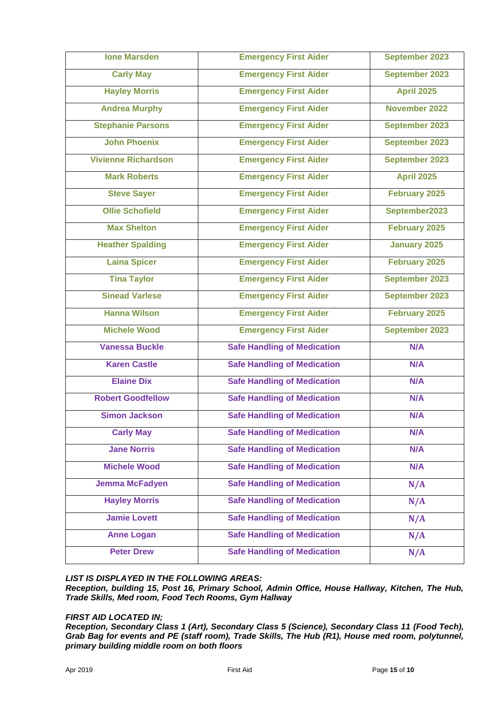| <b>Ione Marsden</b>        | <b>Emergency First Aider</b>       | September 2023       |
|----------------------------|------------------------------------|----------------------|
| <b>Carly May</b>           | <b>Emergency First Aider</b>       | September 2023       |
| <b>Hayley Morris</b>       | <b>Emergency First Aider</b>       | <b>April 2025</b>    |
| <b>Andrea Murphy</b>       | <b>Emergency First Aider</b>       | November 2022        |
| <b>Stephanie Parsons</b>   | <b>Emergency First Aider</b>       | September 2023       |
| <b>John Phoenix</b>        | <b>Emergency First Aider</b>       | September 2023       |
| <b>Vivienne Richardson</b> | <b>Emergency First Aider</b>       | September 2023       |
| <b>Mark Roberts</b>        | <b>Emergency First Aider</b>       | <b>April 2025</b>    |
| <b>Steve Sayer</b>         | <b>Emergency First Aider</b>       | <b>February 2025</b> |
| <b>Ollie Schofield</b>     | <b>Emergency First Aider</b>       | September2023        |
| <b>Max Shelton</b>         | <b>Emergency First Aider</b>       | <b>February 2025</b> |
| <b>Heather Spalding</b>    | <b>Emergency First Aider</b>       | <b>January 2025</b>  |
| <b>Laina Spicer</b>        | <b>Emergency First Aider</b>       | <b>February 2025</b> |
| <b>Tina Taylor</b>         | <b>Emergency First Aider</b>       | September 2023       |
| <b>Sinead Varlese</b>      | <b>Emergency First Aider</b>       | September 2023       |
| <b>Hanna Wilson</b>        | <b>Emergency First Aider</b>       | <b>February 2025</b> |
| <b>Michele Wood</b>        | <b>Emergency First Aider</b>       | September 2023       |
| <b>Vanessa Buckle</b>      | <b>Safe Handling of Medication</b> | N/A                  |
| <b>Karen Castle</b>        | <b>Safe Handling of Medication</b> | N/A                  |
| <b>Elaine Dix</b>          | <b>Safe Handling of Medication</b> | N/A                  |
| <b>Robert Goodfellow</b>   | <b>Safe Handling of Medication</b> | N/A                  |
| <b>Simon Jackson</b>       | <b>Safe Handling of Medication</b> | N/A                  |
| <b>Carly May</b>           | <b>Safe Handling of Medication</b> | N/A                  |
| <b>Jane Norris</b>         | <b>Safe Handling of Medication</b> | N/A                  |
| <b>Michele Wood</b>        | <b>Safe Handling of Medication</b> | N/A                  |
| <b>Jemma McFadyen</b>      | <b>Safe Handling of Medication</b> | N/A                  |
| <b>Hayley Morris</b>       | <b>Safe Handling of Medication</b> | N/A                  |
| <b>Jamie Lovett</b>        | <b>Safe Handling of Medication</b> | N/A                  |
| <b>Anne Logan</b>          | <b>Safe Handling of Medication</b> | N/A                  |
| <b>Peter Drew</b>          | <b>Safe Handling of Medication</b> | N/A                  |

#### *LIST IS DISPLAYED IN THE FOLLOWING AREAS:*

*Reception, building 15, Post 16, Primary School, Admin Office, House Hallway, Kitchen, The Hub, Trade Skills, Med room, Food Tech Rooms, Gym Hallway* 

#### *FIRST AID LOCATED IN;*

*Reception, Secondary Class 1 (Art), Secondary Class 5 (Science), Secondary Class 11 (Food Tech), Grab Bag for events and PE (staff room), Trade Skills, The Hub (R1), House med room, polytunnel, primary building middle room on both floors*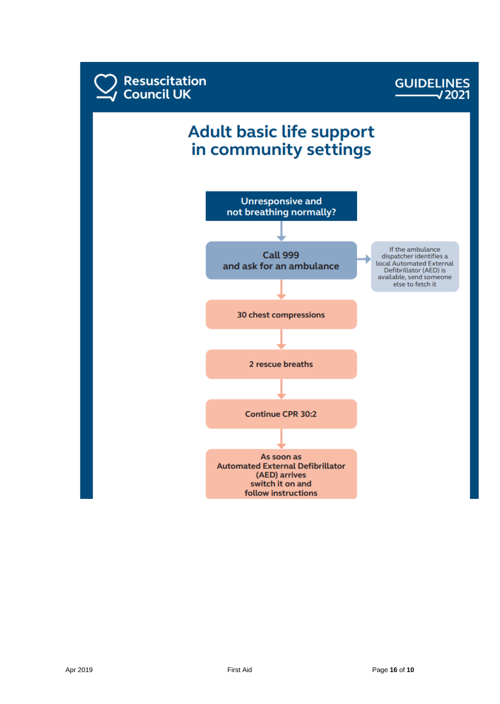



# **Adult basic life support** in community settings

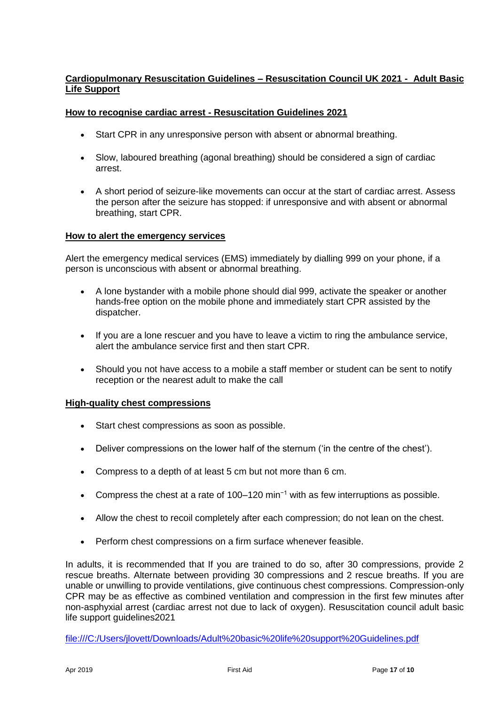# **Cardiopulmonary Resuscitation Guidelines – Resuscitation Council UK 2021 - Adult Basic Life Support**

# **How to recognise cardiac arrest - Resuscitation Guidelines 2021**

- Start CPR in any unresponsive person with absent or abnormal breathing.
- Slow, laboured breathing (agonal breathing) should be considered a sign of cardiac arrest.
- A short period of seizure-like movements can occur at the start of cardiac arrest. Assess the person after the seizure has stopped: if unresponsive and with absent or abnormal breathing, start CPR.

#### **How to alert the emergency services**

Alert the emergency medical services (EMS) immediately by dialling 999 on your phone, if a person is unconscious with absent or abnormal breathing.

- A lone bystander with a mobile phone should dial 999, activate the speaker or another hands-free option on the mobile phone and immediately start CPR assisted by the dispatcher.
- If you are a lone rescuer and you have to leave a victim to ring the ambulance service, alert the ambulance service first and then start CPR.
- Should you not have access to a mobile a staff member or student can be sent to notify reception or the nearest adult to make the call

# **High-quality chest compressions**

- Start chest compressions as soon as possible.
- Deliver compressions on the lower half of the sternum ('in the centre of the chest').
- Compress to a depth of at least 5 cm but not more than 6 cm.
- Compress the chest at a rate of 100–120 min−1 with as few interruptions as possible.
- Allow the chest to recoil completely after each compression; do not lean on the chest.
- Perform chest compressions on a firm surface whenever feasible.

In adults, it is recommended that If you are trained to do so, after 30 compressions, provide 2 rescue breaths. Alternate between providing 30 compressions and 2 rescue breaths. If you are unable or unwilling to provide ventilations, give continuous chest compressions. Compression-only CPR may be as effective as combined ventilation and compression in the first few minutes after non-asphyxial arrest (cardiac arrest not due to lack of oxygen). Resuscitation council adult basic life support guidelines2021

<file:///C:/Users/jlovett/Downloads/Adult%20basic%20life%20support%20Guidelines.pdf>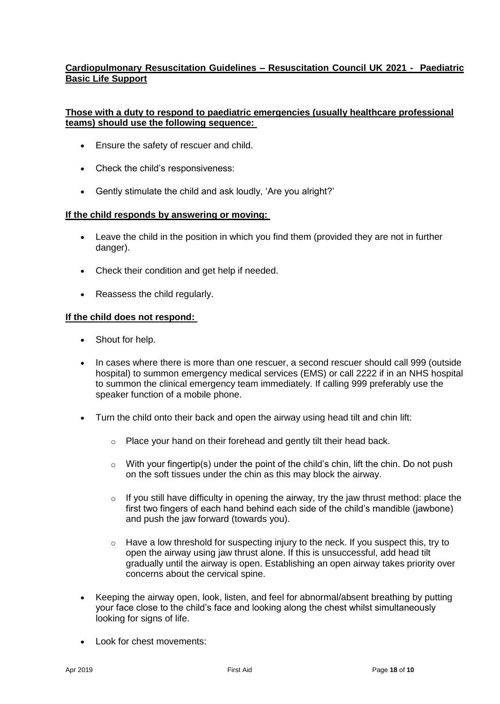# **Cardiopulmonary Resuscitation Guidelines – Resuscitation Council UK 2021 - Paediatric Basic Life Support**

# **Those with a duty to respond to paediatric emergencies (usually healthcare professional teams) should use the following sequence:**

- Ensure the safety of rescuer and child.
- Check the child's responsiveness:
- Gently stimulate the child and ask loudly, 'Are you alright?'

# **If the child responds by answering or moving:**

- Leave the child in the position in which you find them (provided they are not in further danger).
- Check their condition and get help if needed.
- Reassess the child regularly.

#### **If the child does not respond:**

- Shout for help.
- In cases where there is more than one rescuer, a second rescuer should call 999 (outside hospital) to summon emergency medical services (EMS) or call 2222 if in an NHS hospital to summon the clinical emergency team immediately. If calling 999 preferably use the speaker function of a mobile phone.
- Turn the child onto their back and open the airway using head tilt and chin lift:
	- o Place your hand on their forehead and gently tilt their head back.
	- $\circ$  With your fingertip(s) under the point of the child's chin, lift the chin. Do not push on the soft tissues under the chin as this may block the airway.
	- $\circ$  If you still have difficulty in opening the airway, try the jaw thrust method: place the first two fingers of each hand behind each side of the child's mandible (jawbone) and push the jaw forward (towards you).
	- $\circ$  Have a low threshold for suspecting injury to the neck. If you suspect this, try to open the airway using jaw thrust alone. If this is unsuccessful, add head tilt gradually until the airway is open. Establishing an open airway takes priority over concerns about the cervical spine.
- Keeping the airway open, look, listen, and feel for abnormal/absent breathing by putting your face close to the child's face and looking along the chest whilst simultaneously looking for signs of life.
- Look for chest movements: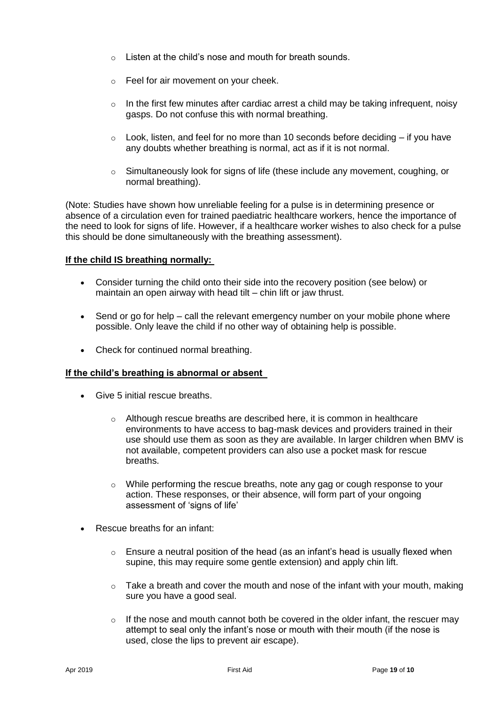- $\circ$  Listen at the child's nose and mouth for breath sounds.
- o Feel for air movement on your cheek.
- $\circ$  In the first few minutes after cardiac arrest a child may be taking infrequent, noisy gasps. Do not confuse this with normal breathing.
- $\circ$  Look, listen, and feel for no more than 10 seconds before deciding if you have any doubts whether breathing is normal, act as if it is not normal.
- $\circ$  Simultaneously look for signs of life (these include any movement, coughing, or normal breathing).

(Note: Studies have shown how unreliable feeling for a pulse is in determining presence or absence of a circulation even for trained paediatric healthcare workers, hence the importance of the need to look for signs of life. However, if a healthcare worker wishes to also check for a pulse this should be done simultaneously with the breathing assessment).

#### **If the child IS breathing normally:**

- Consider turning the child onto their side into the recovery position (see below) or maintain an open airway with head tilt – chin lift or jaw thrust.
- Send or go for help call the relevant emergency number on your mobile phone where possible. Only leave the child if no other way of obtaining help is possible.
- Check for continued normal breathing.

#### **If the child's breathing is abnormal or absent**

- Give 5 initial rescue breaths.
	- o Although rescue breaths are described here, it is common in healthcare environments to have access to bag-mask devices and providers trained in their use should use them as soon as they are available. In larger children when BMV is not available, competent providers can also use a pocket mask for rescue breaths.
	- o While performing the rescue breaths, note any gag or cough response to your action. These responses, or their absence, will form part of your ongoing assessment of 'signs of life'
- Rescue breaths for an infant:
	- $\circ$  Ensure a neutral position of the head (as an infant's head is usually flexed when supine, this may require some gentle extension) and apply chin lift.
	- $\circ$  Take a breath and cover the mouth and nose of the infant with your mouth, making sure you have a good seal.
	- $\circ$  If the nose and mouth cannot both be covered in the older infant, the rescuer may attempt to seal only the infant's nose or mouth with their mouth (if the nose is used, close the lips to prevent air escape).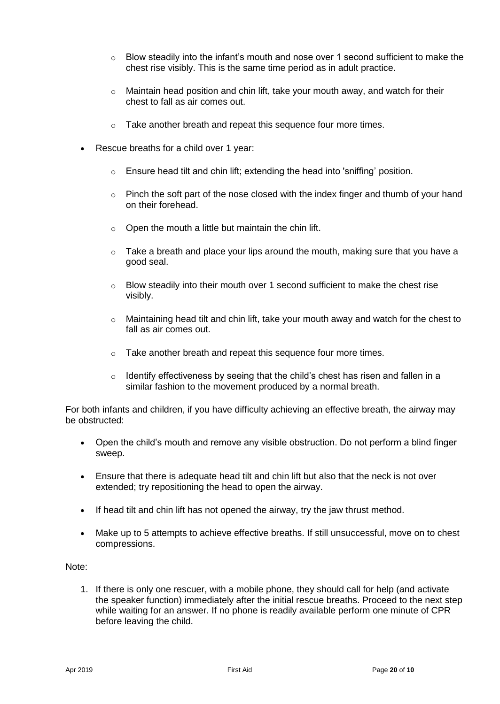- o Blow steadily into the infant's mouth and nose over 1 second sufficient to make the chest rise visibly. This is the same time period as in adult practice.
- $\circ$  Maintain head position and chin lift, take your mouth away, and watch for their chest to fall as air comes out.
- o Take another breath and repeat this sequence four more times.
- Rescue breaths for a child over 1 year:
	- o Ensure head tilt and chin lift; extending the head into 'sniffing' position.
	- $\circ$  Pinch the soft part of the nose closed with the index finger and thumb of your hand on their forehead.
	- $\circ$  Open the mouth a little but maintain the chin lift.
	- $\circ$  Take a breath and place your lips around the mouth, making sure that you have a good seal.
	- o Blow steadily into their mouth over 1 second sufficient to make the chest rise visibly.
	- $\circ$  Maintaining head tilt and chin lift, take your mouth away and watch for the chest to fall as air comes out.
	- o Take another breath and repeat this sequence four more times.
	- $\circ$  Identify effectiveness by seeing that the child's chest has risen and fallen in a similar fashion to the movement produced by a normal breath.

For both infants and children, if you have difficulty achieving an effective breath, the airway may be obstructed:

- Open the child's mouth and remove any visible obstruction. Do not perform a blind finger sweep.
- Ensure that there is adequate head tilt and chin lift but also that the neck is not over extended; try repositioning the head to open the airway.
- If head tilt and chin lift has not opened the airway, try the jaw thrust method.
- Make up to 5 attempts to achieve effective breaths. If still unsuccessful, move on to chest compressions.

Note:

1. If there is only one rescuer, with a mobile phone, they should call for help (and activate the speaker function) immediately after the initial rescue breaths. Proceed to the next step while waiting for an answer. If no phone is readily available perform one minute of CPR before leaving the child.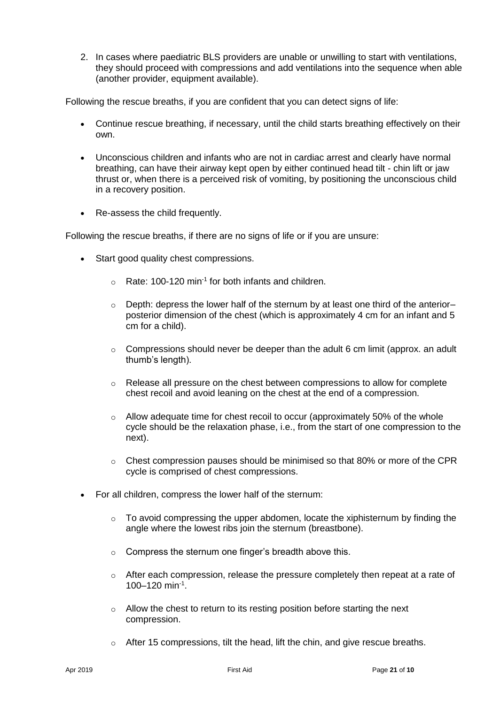2. In cases where paediatric BLS providers are unable or unwilling to start with ventilations, they should proceed with compressions and add ventilations into the sequence when able (another provider, equipment available).

Following the rescue breaths, if you are confident that you can detect signs of life:

- Continue rescue breathing, if necessary, until the child starts breathing effectively on their own.
- Unconscious children and infants who are not in cardiac arrest and clearly have normal breathing, can have their airway kept open by either continued head tilt - chin lift or jaw thrust or, when there is a perceived risk of vomiting, by positioning the unconscious child in a recovery position.
- Re-assess the child frequently.

Following the rescue breaths, if there are no signs of life or if you are unsure:

- Start good quality chest compressions.
	- $\circ$  Rate: 100-120 min<sup>-1</sup> for both infants and children.
	- $\circ$  Depth: depress the lower half of the sternum by at least one third of the anterior– posterior dimension of the chest (which is approximately 4 cm for an infant and 5 cm for a child).
	- $\circ$  Compressions should never be deeper than the adult 6 cm limit (approx. an adult thumb's length).
	- $\circ$  Release all pressure on the chest between compressions to allow for complete chest recoil and avoid leaning on the chest at the end of a compression.
	- $\circ$  Allow adequate time for chest recoil to occur (approximately 50% of the whole cycle should be the relaxation phase, i.e., from the start of one compression to the next).
	- $\circ$  Chest compression pauses should be minimised so that 80% or more of the CPR cycle is comprised of chest compressions.
- For all children, compress the lower half of the sternum:
	- $\circ$  To avoid compressing the upper abdomen, locate the xiphisternum by finding the angle where the lowest ribs join the sternum (breastbone).
	- o Compress the sternum one finger's breadth above this.
	- $\circ$  After each compression, release the pressure completely then repeat at a rate of 100–120 min-1 .
	- o Allow the chest to return to its resting position before starting the next compression.
	- $\circ$  After 15 compressions, tilt the head, lift the chin, and give rescue breaths.